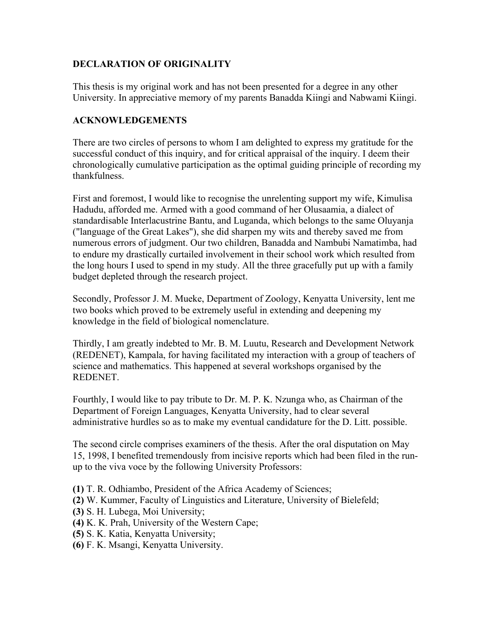## **DECLARATION OF ORIGINALITY**

This thesis is my original work and has not been presented for a degree in any other University. In appreciative memory of my parents Banadda Kiingi and Nabwami Kiingi.

## **ACKNOWLEDGEMENTS**

There are two circles of persons to whom I am delighted to express my gratitude for the successful conduct of this inquiry, and for critical appraisal of the inquiry. I deem their chronologically cumulative participation as the optimal guiding principle of recording my thankfulness.

First and foremost, I would like to recognise the unrelenting support my wife, Kimulisa Hadudu, afforded me. Armed with a good command of her Olusaamia, a dialect of standardisable Interlacustrine Bantu, and Luganda, which belongs to the same Oluyanja ("language of the Great Lakes"), she did sharpen my wits and thereby saved me from numerous errors of judgment. Our two children, Banadda and Nambubi Namatimba, had to endure my drastically curtailed involvement in their school work which resulted from the long hours I used to spend in my study. All the three gracefully put up with a family budget depleted through the research project.

Secondly, Professor J. M. Mueke, Department of Zoology, Kenyatta University, lent me two books which proved to be extremely useful in extending and deepening my knowledge in the field of biological nomenclature.

Thirdly, I am greatly indebted to Mr. B. M. Luutu, Research and Development Network (REDENET), Kampala, for having facilitated my interaction with a group of teachers of science and mathematics. This happened at several workshops organised by the REDENET.

Fourthly, I would like to pay tribute to Dr. M. P. K. Nzunga who, as Chairman of the Department of Foreign Languages, Kenyatta University, had to clear several administrative hurdles so as to make my eventual candidature for the D. Litt. possible.

The second circle comprises examiners of the thesis. After the oral disputation on May 15, 1998, I benefited tremendously from incisive reports which had been filed in the runup to the viva voce by the following University Professors:

- **(1)** T. R. Odhiambo, President of the Africa Academy of Sciences;
- **(2)** W. Kummer, Faculty of Linguistics and Literature, University of Bielefeld;
- **(3)** S. H. Lubega, Moi University;
- **(4)** K. K. Prah, University of the Western Cape;
- **(5)** S. K. Katia, Kenyatta University;
- **(6)** F. K. Msangi, Kenyatta University.